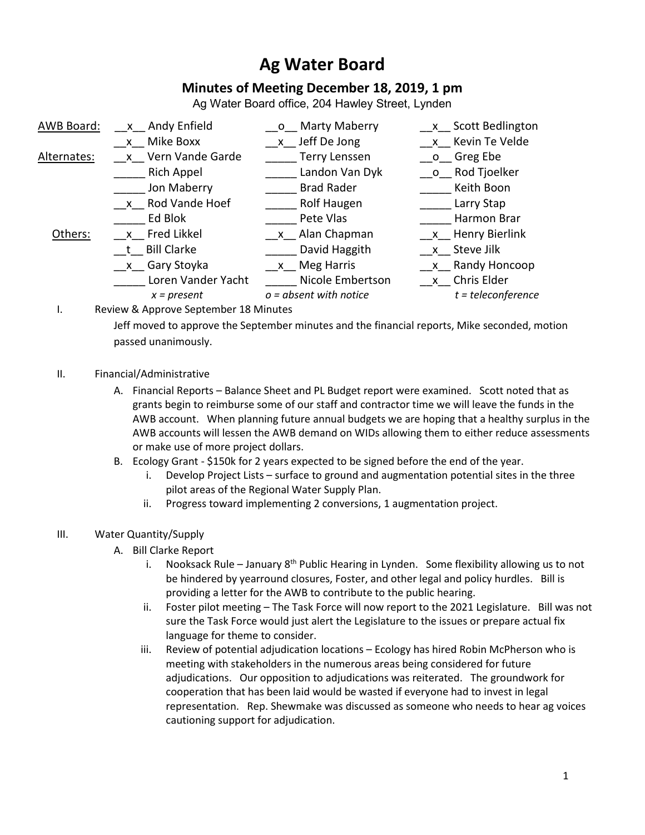## **Ag Water Board**

## **Minutes of Meeting December 18, 2019, 1 pm**

Ag Water Board office, 204 Hawley Street, Lynden

| AWB Board:  | x Andy Enfield     | Marty Maberry<br>$\overline{O}$ | x Scott Bedlington   |
|-------------|--------------------|---------------------------------|----------------------|
|             | x Mike Boxx        | x Jeff De Jong                  | x Kevin Te Velde     |
| Alternates: | x Vern Vande Garde | <b>Terry Lenssen</b>            | o Greg Ebe           |
|             | <b>Rich Appel</b>  | Landon Van Dyk                  | o Rod Tjoelker       |
|             | Jon Maberry        | <b>Brad Rader</b>               | Keith Boon           |
|             | x Rod Vande Hoef   | <b>Rolf Haugen</b>              | Larry Stap           |
|             | Ed Blok            | Pete Vlas                       | Harmon Brar          |
| Others:     | x Fred Likkel      | x Alan Chapman                  | x Henry Bierlink     |
|             | t Bill Clarke      | David Haggith                   | x Steve Jilk         |
|             | __x__ Gary Stoyka  | x Meg Harris                    | x Randy Honcoop      |
|             | Loren Vander Yacht | Nicole Embertson                | x Chris Elder        |
|             | $x = present$      | $o = absent$ with notice        | $t = teleconference$ |

I. Review & Approve September 18 Minutes

Jeff moved to approve the September minutes and the financial reports, Mike seconded, motion passed unanimously.

- II. Financial/Administrative
	- A. Financial Reports Balance Sheet and PL Budget report were examined. Scott noted that as grants begin to reimburse some of our staff and contractor time we will leave the funds in the AWB account. When planning future annual budgets we are hoping that a healthy surplus in the AWB accounts will lessen the AWB demand on WIDs allowing them to either reduce assessments or make use of more project dollars.
	- B. Ecology Grant \$150k for 2 years expected to be signed before the end of the year.
		- i. Develop Project Lists surface to ground and augmentation potential sites in the three pilot areas of the Regional Water Supply Plan.
		- ii. Progress toward implementing 2 conversions, 1 augmentation project.
- III. Water Quantity/Supply
	- A. Bill Clarke Report
		- i. Nooksack Rule January  $8<sup>th</sup>$  Public Hearing in Lynden. Some flexibility allowing us to not be hindered by yearround closures, Foster, and other legal and policy hurdles. Bill is providing a letter for the AWB to contribute to the public hearing.
		- ii. Foster pilot meeting The Task Force will now report to the 2021 Legislature. Bill was not sure the Task Force would just alert the Legislature to the issues or prepare actual fix language for theme to consider.
		- iii. Review of potential adjudication locations Ecology has hired Robin McPherson who is meeting with stakeholders in the numerous areas being considered for future adjudications. Our opposition to adjudications was reiterated. The groundwork for cooperation that has been laid would be wasted if everyone had to invest in legal representation. Rep. Shewmake was discussed as someone who needs to hear ag voices cautioning support for adjudication.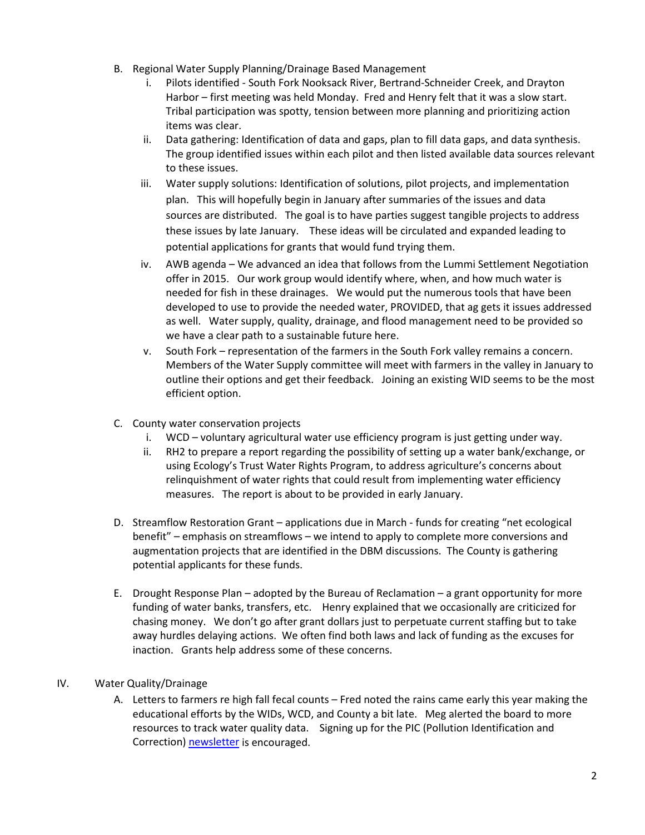- B. Regional Water Supply Planning/Drainage Based Management
	- i. Pilots identified South Fork Nooksack River, Bertrand-Schneider Creek, and Drayton Harbor – first meeting was held Monday. Fred and Henry felt that it was a slow start. Tribal participation was spotty, tension between more planning and prioritizing action items was clear.
	- ii. Data gathering: Identification of data and gaps, plan to fill data gaps, and data synthesis. The group identified issues within each pilot and then listed available data sources relevant to these issues.
	- iii. Water supply solutions: Identification of solutions, pilot projects, and implementation plan. This will hopefully begin in January after summaries of the issues and data sources are distributed. The goal is to have parties suggest tangible projects to address these issues by late January. These ideas will be circulated and expanded leading to potential applications for grants that would fund trying them.
	- iv. AWB agenda We advanced an idea that follows from the Lummi Settlement Negotiation offer in 2015. Our work group would identify where, when, and how much water is needed for fish in these drainages. We would put the numerous tools that have been developed to use to provide the needed water, PROVIDED, that ag gets it issues addressed as well. Water supply, quality, drainage, and flood management need to be provided so we have a clear path to a sustainable future here.
	- v. South Fork representation of the farmers in the South Fork valley remains a concern. Members of the Water Supply committee will meet with farmers in the valley in January to outline their options and get their feedback. Joining an existing WID seems to be the most efficient option.
- C. County water conservation projects
	- i. WCD voluntary agricultural water use efficiency program is just getting under way.
	- ii. RH2 to prepare a report regarding the possibility of setting up a water bank/exchange, or using Ecology's Trust Water Rights Program, to address agriculture's concerns about relinquishment of water rights that could result from implementing water efficiency measures. The report is about to be provided in early January.
- D. Streamflow Restoration Grant applications due in March funds for creating "net ecological benefit" – emphasis on streamflows – we intend to apply to complete more conversions and augmentation projects that are identified in the DBM discussions. The County is gathering potential applicants for these funds.
- E. Drought Response Plan adopted by the Bureau of Reclamation a grant opportunity for more funding of water banks, transfers, etc. Henry explained that we occasionally are criticized for chasing money. We don't go after grant dollars just to perpetuate current staffing but to take away hurdles delaying actions. We often find both laws and lack of funding as the excuses for inaction. Grants help address some of these concerns.

## IV. Water Quality/Drainage

A. Letters to farmers re high fall fecal counts – Fred noted the rains came early this year making the educational efforts by the WIDs, WCD, and County a bit late. Meg alerted the board to more resources to track water quality data. Signing up for the PIC (Pollution Identification and Correction) [newsletter](https://whatcomcounty.us19.list-manage.com/subscribe?u=134974ec82ab8309aaf34807d&id=b08bffcb07) is encouraged.